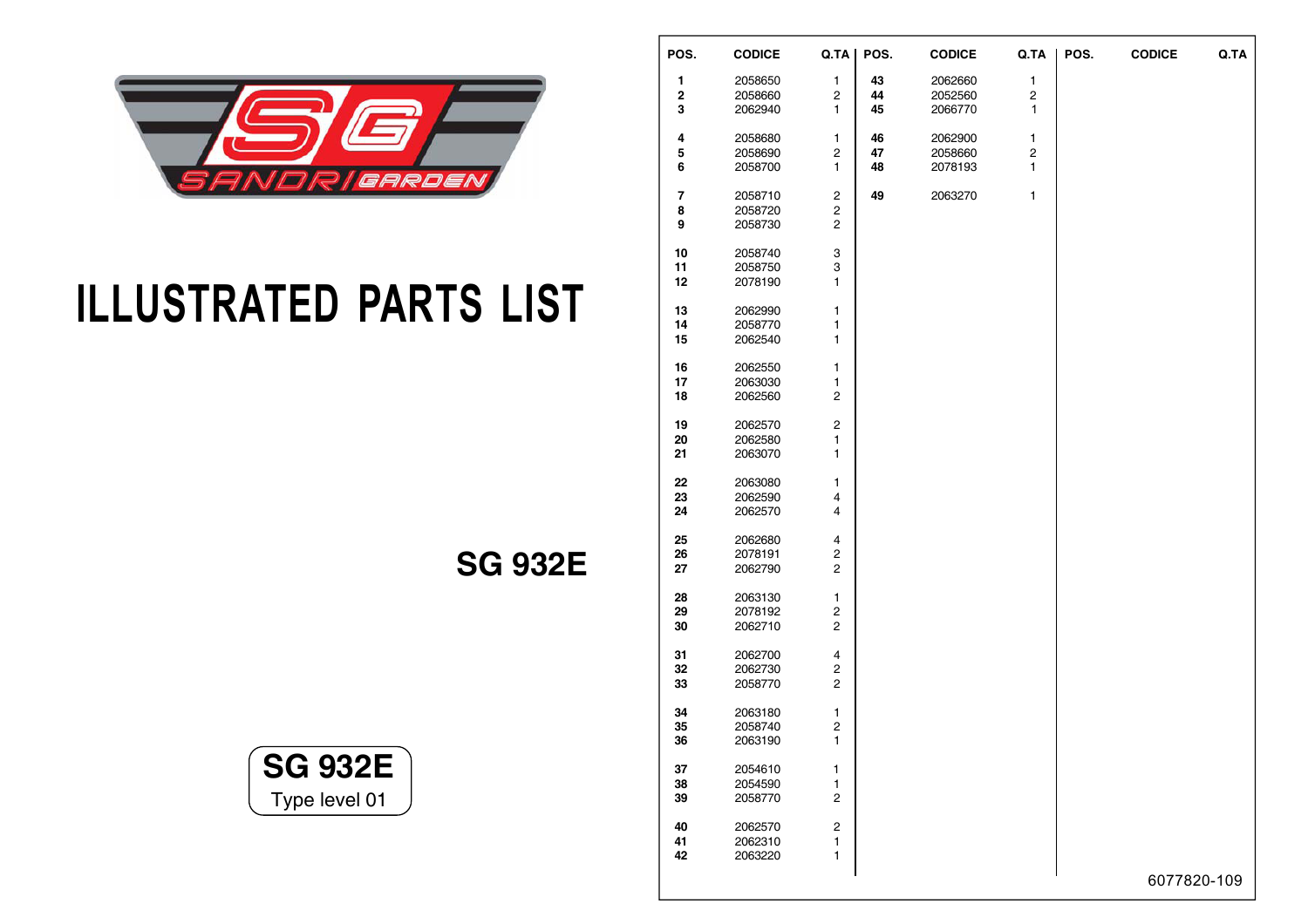

## **ILLUSTRATED PARTS LIST**

**SG 932E**



| POS.                    | <b>CODICE</b>      | Q.TA                    | POS. | <b>CODICE</b> | Q.TA                    | POS. | <b>CODICE</b> | Q.TA |
|-------------------------|--------------------|-------------------------|------|---------------|-------------------------|------|---------------|------|
| 1                       | 2058650            | $\mathbf{1}$            | 43   | 2062660       | $\mathbf{1}$            |      |               |      |
| $\overline{\mathbf{c}}$ | 2058660            | 2                       | 44   | 2052560       | $\overline{\mathbf{c}}$ |      |               |      |
| 3                       | 2062940            | 1                       | 45   | 2066770       | 1                       |      |               |      |
| 4                       | 2058680            | 1                       | 46   | 2062900       | 1                       |      |               |      |
| 5                       | 2058690            | $\overline{\mathbf{c}}$ | 47   | 2058660       | 2                       |      |               |      |
| 6                       | 2058700            | 1                       | 48   | 2078193       | 1                       |      |               |      |
|                         |                    |                         |      |               |                         |      |               |      |
| 7                       | 2058710            | 2                       | 49   | 2063270       | 1                       |      |               |      |
| 8                       | 2058720            | $\overline{\mathbf{c}}$ |      |               |                         |      |               |      |
| 9                       | 2058730            | $\overline{c}$          |      |               |                         |      |               |      |
| 10                      | 2058740            | 3                       |      |               |                         |      |               |      |
| 11                      | 2058750            | 3                       |      |               |                         |      |               |      |
| 12                      | 2078190            | 1                       |      |               |                         |      |               |      |
| 13                      | 2062990            | 1                       |      |               |                         |      |               |      |
| 14                      | 2058770            | 1                       |      |               |                         |      |               |      |
| 15                      | 2062540            | 1                       |      |               |                         |      |               |      |
|                         |                    | 1                       |      |               |                         |      |               |      |
| 16<br>17                | 2062550<br>2063030 | 1                       |      |               |                         |      |               |      |
| 18                      | 2062560            | $\overline{c}$          |      |               |                         |      |               |      |
|                         |                    |                         |      |               |                         |      |               |      |
| 19                      | 2062570            | $\overline{\mathbf{c}}$ |      |               |                         |      |               |      |
| 20                      | 2062580            | 1                       |      |               |                         |      |               |      |
| 21                      | 2063070            | 1                       |      |               |                         |      |               |      |
| 22                      | 2063080            | 1                       |      |               |                         |      |               |      |
| 23                      | 2062590            | 4                       |      |               |                         |      |               |      |
| 24                      | 2062570            | 4                       |      |               |                         |      |               |      |
| 25                      | 2062680            | 4                       |      |               |                         |      |               |      |
| 26                      | 2078191            | $\overline{\mathbf{c}}$ |      |               |                         |      |               |      |
| 27                      | 2062790            | $\overline{2}$          |      |               |                         |      |               |      |
| 28                      | 2063130            | 1                       |      |               |                         |      |               |      |
| 29                      | 2078192            | 2                       |      |               |                         |      |               |      |
| 30                      | 2062710            | 2                       |      |               |                         |      |               |      |
| 31                      | 2062700            | 4                       |      |               |                         |      |               |      |
| 32                      | 2062730            | $\overline{\mathbf{c}}$ |      |               |                         |      |               |      |
| 33                      | 2058770            | 2                       |      |               |                         |      |               |      |
| 34                      | 2063180            |                         |      |               |                         |      |               |      |
| 35                      | 2058740            | 1<br>2                  |      |               |                         |      |               |      |
| 36                      | 2063190            | 1                       |      |               |                         |      |               |      |
|                         |                    |                         |      |               |                         |      |               |      |
| 37                      | 2054610            | 1                       |      |               |                         |      |               |      |
| 38                      | 2054590            | 1                       |      |               |                         |      |               |      |
| 39                      | 2058770            | 2                       |      |               |                         |      |               |      |
| 40                      | 2062570            | 2                       |      |               |                         |      |               |      |
| 41                      | 2062310            | 1                       |      |               |                         |      |               |      |
| 42                      | 2063220            | 1                       |      |               |                         |      |               |      |
|                         |                    |                         |      |               |                         |      | 6077820-109   |      |